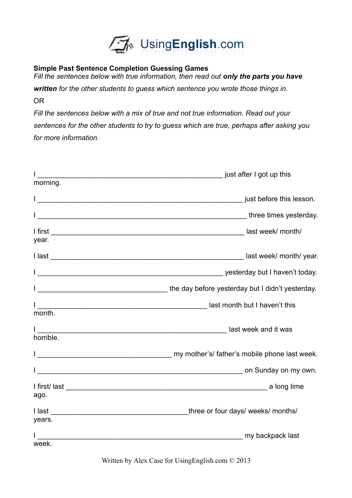

## **Simple Past Sentence Completion Guessing Games**

*Fill the sentences below with true information, then read out only the parts you have* 

*written for the other students to guess which sentence you wrote those things in.* OR

*Fill the sentences below with a mix of true and not true information. Read out your sentences for the other students to try to guess which are true, perhaps after asking you for more information.* 

| morning.  | in the contract of the contract of the contract of the contract of the contract of the contract of the contract of the contract of the contract of the contract of the contract of the contract of the contract of the contrac |
|-----------|--------------------------------------------------------------------------------------------------------------------------------------------------------------------------------------------------------------------------------|
|           |                                                                                                                                                                                                                                |
|           |                                                                                                                                                                                                                                |
|           |                                                                                                                                                                                                                                |
|           |                                                                                                                                                                                                                                |
| year.     |                                                                                                                                                                                                                                |
|           |                                                                                                                                                                                                                                |
|           |                                                                                                                                                                                                                                |
|           | the day before yesterday but I didn't yesterday.                                                                                                                                                                               |
|           |                                                                                                                                                                                                                                |
| month.    |                                                                                                                                                                                                                                |
|           |                                                                                                                                                                                                                                |
| horrible. |                                                                                                                                                                                                                                |
|           |                                                                                                                                                                                                                                |
|           |                                                                                                                                                                                                                                |
|           | I first/last a long time a long time                                                                                                                                                                                           |
| ago.      |                                                                                                                                                                                                                                |
|           |                                                                                                                                                                                                                                |
| years.    |                                                                                                                                                                                                                                |
|           | my backpack last                                                                                                                                                                                                               |
| week.     |                                                                                                                                                                                                                                |

Written by Alex Case for UsingEnglish.com © 2013